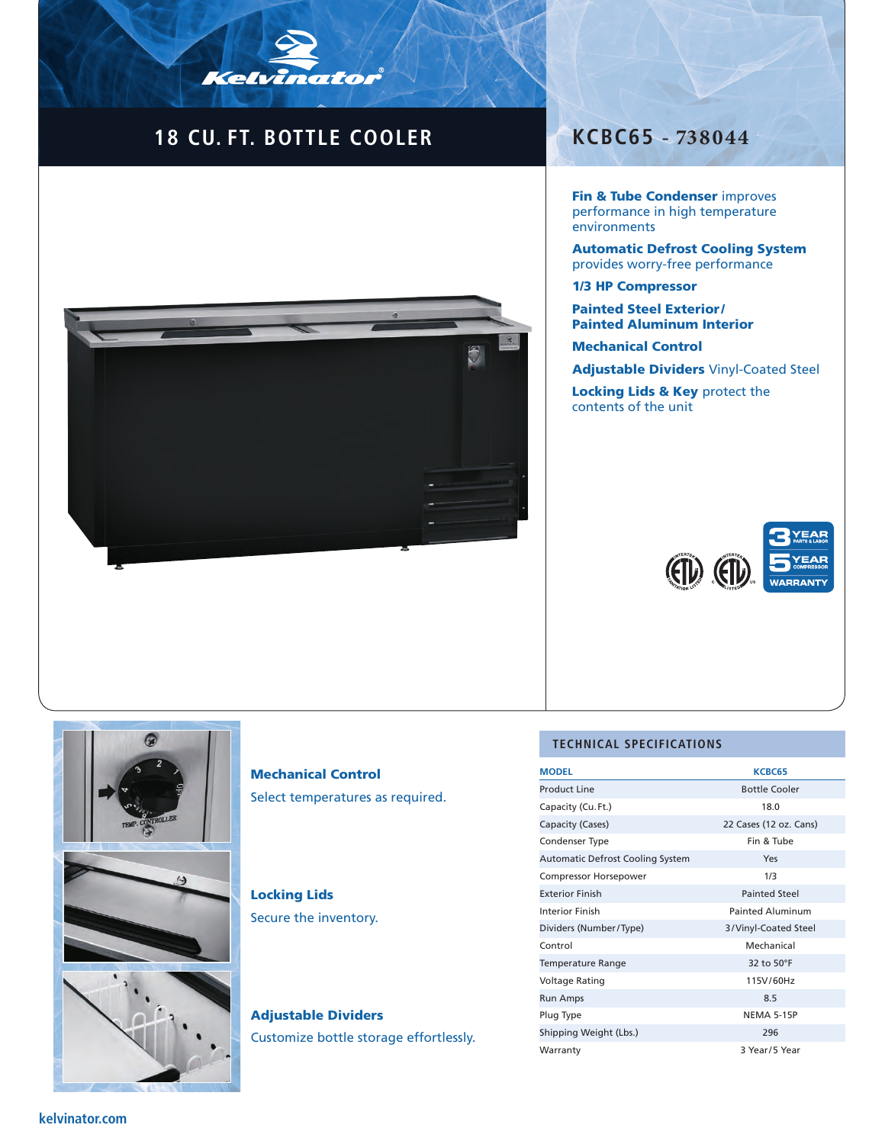# **18 CU. FT. BOTTLE COOLER KCBC65 - 738044**

Kelvinator



Fin & Tube Condenser improves performance in high temperature environments

Automatic Defrost Cooling System provides worry-free performance

#### 1/3 HP Compressor

Painted Steel Exterior / Painted Aluminum Interior

Mechanical Control

Adjustable Dividers Vinyl-Coated Steel

Locking Lids & Key protect the contents of the unit





# Mechanical Control Select temperatures as required.

# Locking Lids Secure the inventory.

Adjustable Dividers Customize bottle storage effortlessly.

#### **TECHNICAL SPECIFICATIONS**

| <b>MODEL</b>                            | <b>KCBC65</b>           |
|-----------------------------------------|-------------------------|
| <b>Product Line</b>                     | <b>Bottle Cooler</b>    |
| Capacity (Cu. Ft.)                      | 18.0                    |
| Capacity (Cases)                        | 22 Cases (12 oz. Cans)  |
| Condenser Type                          | Fin & Tube              |
| <b>Automatic Defrost Cooling System</b> | Yes                     |
| Compressor Horsepower                   | 1/3                     |
| <b>Exterior Finish</b>                  | <b>Painted Steel</b>    |
| Interior Finish                         | <b>Painted Aluminum</b> |
| Dividers (Number/Type)                  | 3/Vinyl-Coated Steel    |
| Control                                 | Mechanical              |
| <b>Temperature Range</b>                | 32 to 50°F              |
| <b>Voltage Rating</b>                   | 115V/60Hz               |
| <b>Run Amps</b>                         | 8.5                     |
| Plug Type                               | <b>NEMA 5-15P</b>       |
| Shipping Weight (Lbs.)                  | 296                     |
| Warranty                                | 3 Year/5 Year           |